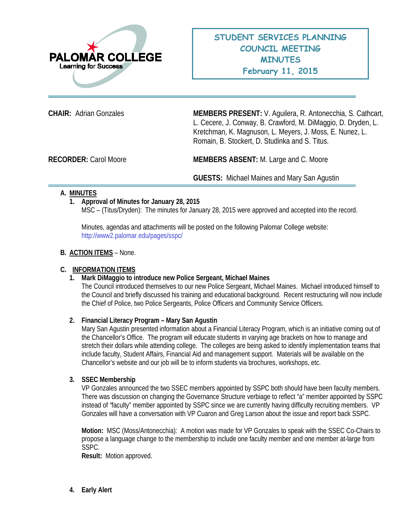

**CHAIR:** Adrian Gonzales **MEMBERS PRESENT:** V. Aguilera, R. Antonecchia, S. Cathcart, L. Cecere, J. Conway, B. Crawford, M. DiMaggio, D. Dryden, L. Kretchman, K. Magnuson, L. Meyers, J. Moss, E. Nunez, L. Romain, B. Stockert, D. Studinka and S. Titus.

**RECORDER:** Carol Moore **MEMBERS ABSENT:** M. Large and C. Moore

**GUESTS:** Michael Maines and Mary San Agustin

# **A. MINUTES**

## **1. Approval of Minutes for January 28, 2015**

MSC – (Titus/Dryden): The minutes for January 28, 2015 were approved and accepted into the record.

Minutes, agendas and attachments will be posted on the following Palomar College website: <http://www2.palomar.edu/pages/sspc/>

#### **B. ACTION ITEMS** – None.

## **C. INFORMATION ITEMS**

## **1. Mark DiMaggio to introduce new Police Sergeant, Michael Maines**

The Council introduced themselves to our new Police Sergeant, Michael Maines. Michael introduced himself to the Council and briefly discussed his training and educational background. Recent restructuring will now include the Chief of Police, two Police Sergeants, Police Officers and Community Service Officers.

## **2. Financial Literacy Program – Mary San Agustin**

Mary San Agustin presented information about a Financial Literacy Program, which is an initiative coming out of the Chancellor's Office. The program will educate students in varying age brackets on how to manage and stretch their dollars while attending college. The colleges are being asked to identify implementation teams that include faculty, Student Affairs, Financial Aid and management support. Materials will be available on the Chancellor's website and our job will be to inform students via brochures, workshops, etc.

#### **3. SSEC Membership**

VP Gonzales announced the two SSEC members appointed by SSPC both should have been faculty members. There was discussion on changing the Governance Structure verbiage to reflect "a" member appointed by SSPC instead of *"*faculty" member appointed by SSPC since we are currently having difficulty recruiting members. VP Gonzales will have a conversation with VP Cuaron and Greg Larson about the issue and report back SSPC.

**Motion:** MSC (Moss/Antonecchia): A motion was made for VP Gonzales to speak with the SSEC Co-Chairs to propose a language change to the membership to include one faculty member and one member at-large from SSPC.

**Result:** Motion approved.

**4. Early Alert**